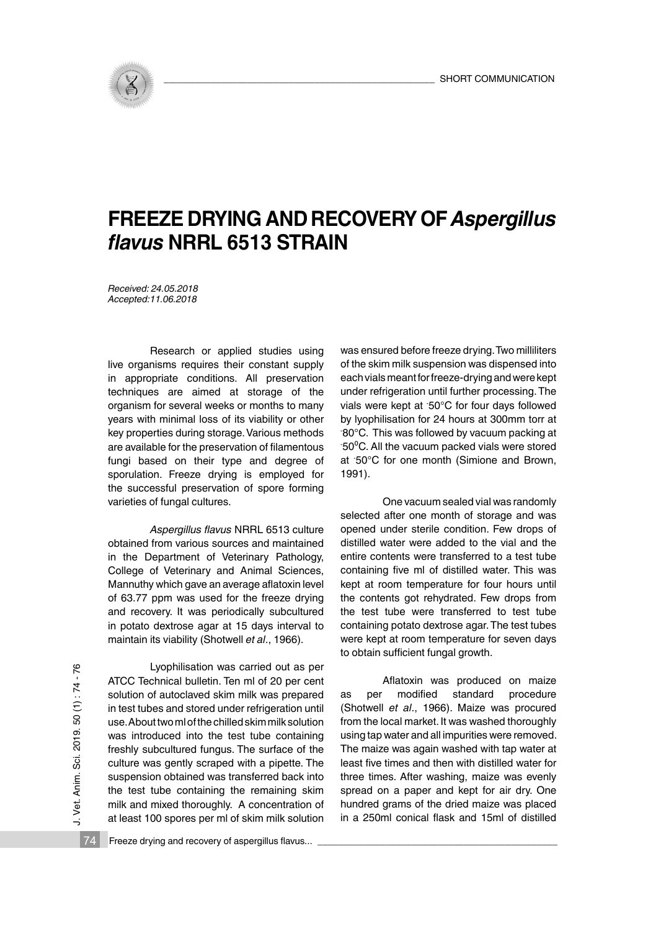

## **FREEZE DRYING AND RECOVERY OF** *Aspergillus flavus* **NRRL 6513 STRAIN**

*Received: 24.05.2018 Accepted:11.06.2018*

Research or applied studies using live organisms requires their constant supply in appropriate conditions. All preservation techniques are aimed at storage of the organism for several weeks or months to many years with minimal loss of its viability or other key properties during storage. Various methods are available for the preservation of filamentous fungi based on their type and degree of sporulation. Freeze drying is employed for the successful preservation of spore forming varieties of fungal cultures.

 *Aspergillus flavus* NRRL 6513 culture obtained from various sources and maintained in the Department of Veterinary Pathology, College of Veterinary and Animal Sciences, Mannuthy which gave an average aflatoxin level of 63.77 ppm was used for the freeze drying and recovery. It was periodically subcultured in potato dextrose agar at 15 days interval to maintain its viability (Shotwell *et al*., 1966).

Vet. Anim. Sci. 2019. 50 (1): 74-76 J. Vet. Anim. Sci. 2019. 50 (1) : 74 - 76  $\overline{\phantom{a}}$ 

Lyophilisation was carried out as per ATCC Technical bulletin. Ten ml of 20 per cent solution of autoclaved skim milk was prepared in test tubes and stored under refrigeration until use. About two ml of the chilled skim milk solution was introduced into the test tube containing freshly subcultured fungus. The surface of the culture was gently scraped with a pipette. The suspension obtained was transferred back into the test tube containing the remaining skim milk and mixed thoroughly. A concentration of at least 100 spores per ml of skim milk solution was ensured before freeze drying. Two milliliters of the skim milk suspension was dispensed into each vials meant for freeze-drying and were kept under refrigeration until further processing. The vials were kept at - 50°C for four days followed by lyophilisation for 24 hours at 300mm torr at - 80°C. This was followed by vacuum packing at - 50⁰C. All the vacuum packed vials were stored at - 50°C for one month (Simione and Brown, 1991).

One vacuum sealed vial was randomly selected after one month of storage and was opened under sterile condition. Few drops of distilled water were added to the vial and the entire contents were transferred to a test tube containing five ml of distilled water. This was kept at room temperature for four hours until the contents got rehydrated. Few drops from the test tube were transferred to test tube containing potato dextrose agar. The test tubes were kept at room temperature for seven days to obtain sufficient fungal growth.

Aflatoxin was produced on maize as per modified standard procedure (Shotwell *et al*., 1966). Maize was procured from the local market. It was washed thoroughly using tap water and all impurities were removed. The maize was again washed with tap water at least five times and then with distilled water for three times. After washing, maize was evenly spread on a paper and kept for air dry. One hundred grams of the dried maize was placed in a 250ml conical flask and 15ml of distilled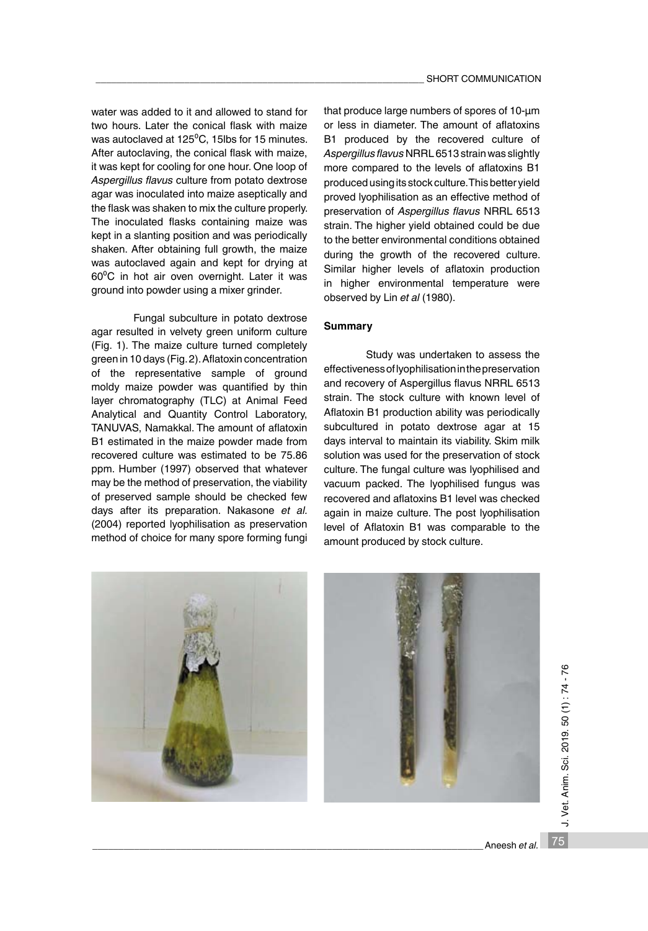water was added to it and allowed to stand for two hours. Later the conical flask with maize was autoclaved at 125<sup>°</sup>C, 15lbs for 15 minutes. After autoclaving, the conical flask with maize, it was kept for cooling for one hour. One loop of *Aspergillus flavus* culture from potato dextrose agar was inoculated into maize aseptically and the flask was shaken to mix the culture properly. The inoculated flasks containing maize was kept in a slanting position and was periodically shaken. After obtaining full growth, the maize was autoclaved again and kept for drying at 60°C in hot air oven overnight. Later it was ground into powder using a mixer grinder.

Fungal subculture in potato dextrose agar resulted in velvety green uniform culture (Fig. 1). The maize culture turned completely green in 10 days (Fig. 2). Aflatoxin concentration of the representative sample of ground moldy maize powder was quantified by thin layer chromatography (TLC) at Animal Feed Analytical and Quantity Control Laboratory, TANUVAS, Namakkal. The amount of aflatoxin B1 estimated in the maize powder made from recovered culture was estimated to be 75.86 ppm. Humber (1997) observed that whatever may be the method of preservation, the viability of preserved sample should be checked few days after its preparation. Nakasone *et al.* (2004) reported lyophilisation as preservation method of choice for many spore forming fungi that produce large numbers of spores of 10-μm or less in diameter. The amount of aflatoxins B1 produced by the recovered culture of *Aspergillus flavus* NRRL 6513 strain was slightly more compared to the levels of aflatoxins B1 produced using its stock culture. This better yield proved lyophilisation as an effective method of preservation of *Aspergillus flavus* NRRL 6513 strain. The higher yield obtained could be due to the better environmental conditions obtained during the growth of the recovered culture. Similar higher levels of aflatoxin production in higher environmental temperature were observed by Lin *et al* (1980).

## **Summary**

Study was undertaken to assess the effectiveness of lyophilisation in the preservation and recovery of Aspergillus flavus NRRL 6513 strain. The stock culture with known level of Aflatoxin B1 production ability was periodically subcultured in potato dextrose agar at 15 days interval to maintain its viability. Skim milk solution was used for the preservation of stock culture. The fungal culture was lyophilised and vacuum packed. The lyophilised fungus was recovered and aflatoxins B1 level was checked again in maize culture. The post lyophilisation level of Aflatoxin B1 was comparable to the amount produced by stock culture.